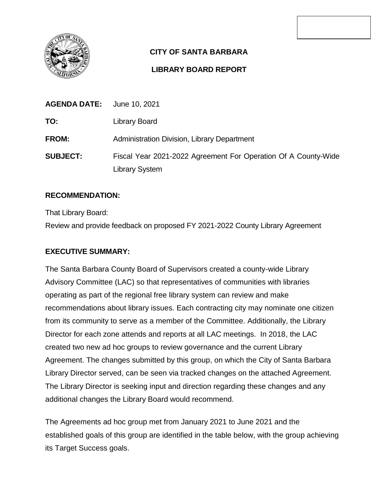

## **CITY OF SANTA BARBARA**

### **LIBRARY BOARD REPORT**

| <b>AGENDA DATE:</b> June 10, 2021 |                                                                |
|-----------------------------------|----------------------------------------------------------------|
| TO:                               | Library Board                                                  |
| FROM:                             | Administration Division, Library Department                    |
| <b>SUBJECT:</b>                   | Fiscal Year 2021-2022 Agreement For Operation Of A County-Wide |
|                                   | <b>Library System</b>                                          |

#### **RECOMMENDATION:**

That Library Board: Review and provide feedback on proposed FY 2021-2022 County Library Agreement

#### **EXECUTIVE SUMMARY:**

The Santa Barbara County Board of Supervisors created a county-wide Library Advisory Committee (LAC) so that representatives of communities with libraries operating as part of the regional free library system can review and make recommendations about library issues. Each contracting city may nominate one citizen from its community to serve as a member of the Committee. Additionally, the Library Director for each zone attends and reports at all LAC meetings. In 2018, the LAC created two new ad hoc groups to review governance and the current Library Agreement. The changes submitted by this group, on which the City of Santa Barbara Library Director served, can be seen via tracked changes on the attached Agreement. The Library Director is seeking input and direction regarding these changes and any additional changes the Library Board would recommend.

The Agreements ad hoc group met from January 2021 to June 2021 and the established goals of this group are identified in the table below, with the group achieving its Target Success goals.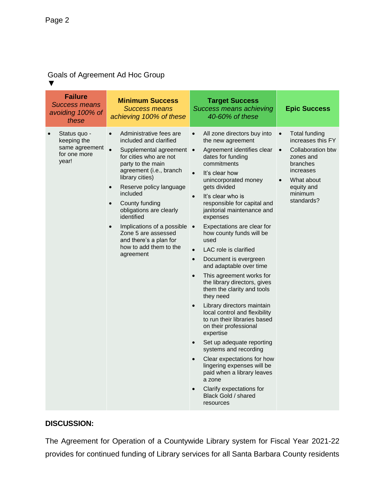# Goals of Agreement Ad Hoc Group

▼

| <b>Failure</b><br>Success means<br>avoiding 100% of<br>these           | <b>Minimum Success</b><br><b>Success means</b><br>achieving 100% of these                                                                                                                                                                                                                                                                                                                                                                              | <b>Target Success</b><br><b>Success means achieving</b><br>40-60% of these                                                                                                                                                                                                                                                                                                                                                                                                                                                                                                                                                                                                                                                                                                                                                                                                                                                                                                                                           | <b>Epic Success</b>                                                                                                                                                    |
|------------------------------------------------------------------------|--------------------------------------------------------------------------------------------------------------------------------------------------------------------------------------------------------------------------------------------------------------------------------------------------------------------------------------------------------------------------------------------------------------------------------------------------------|----------------------------------------------------------------------------------------------------------------------------------------------------------------------------------------------------------------------------------------------------------------------------------------------------------------------------------------------------------------------------------------------------------------------------------------------------------------------------------------------------------------------------------------------------------------------------------------------------------------------------------------------------------------------------------------------------------------------------------------------------------------------------------------------------------------------------------------------------------------------------------------------------------------------------------------------------------------------------------------------------------------------|------------------------------------------------------------------------------------------------------------------------------------------------------------------------|
| Status quo -<br>keeping the<br>same agreement<br>for one more<br>year! | Administrative fees are<br>$\bullet$<br>included and clarified<br>Supplemental agreement •<br>for cities who are not<br>party to the main<br>agreement (i.e., branch<br>library cities)<br>Reserve policy language<br>$\bullet$<br>included<br>County funding<br>$\bullet$<br>obligations are clearly<br>identified<br>Implications of a possible<br>$\bullet$<br>Zone 5 are assessed<br>and there's a plan for<br>how to add them to the<br>agreement | All zone directors buy into<br>$\bullet$<br>the new agreement<br>Agreement identifies clear<br>dates for funding<br>commitments<br>It's clear how<br>$\bullet$<br>unincorporated money<br>gets divided<br>It's clear who is<br>$\bullet$<br>responsible for capital and<br>janitorial maintenance and<br>expenses<br>Expectations are clear for<br>$\bullet$<br>how county funds will be<br>used<br>LAC role is clarified<br>$\bullet$<br>Document is evergreen<br>$\bullet$<br>and adaptable over time<br>This agreement works for<br>$\bullet$<br>the library directors, gives<br>them the clarity and tools<br>they need<br>Library directors maintain<br>local control and flexibility<br>to run their libraries based<br>on their professional<br>expertise<br>Set up adequate reporting<br>systems and recording<br>Clear expectations for how<br>$\bullet$<br>lingering expenses will be<br>paid when a library leaves<br>a zone<br>Clarify expectations for<br>$\bullet$<br>Black Gold / shared<br>resources | <b>Total funding</b><br>increases this FY<br>Collaboration btw<br>$\bullet$<br>zones and<br>branches<br>increases<br>What about<br>equity and<br>minimum<br>standards? |

## **DISCUSSION:**

The Agreement for Operation of a Countywide Library system for Fiscal Year 2021-22 provides for continued funding of Library services for all Santa Barbara County residents